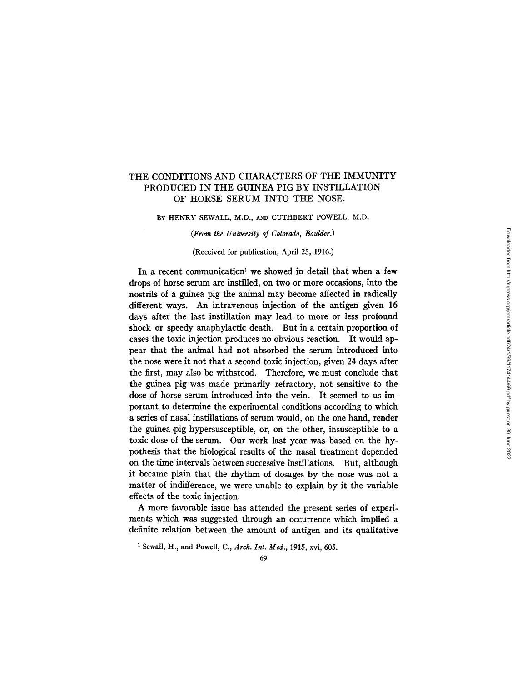# THE CONDITIONS AND CHARACTERS OF THE IMMUNITY PRODUCED IN THE GUINEA PIG BY INSTILLATION OF HORSE SERUM INTO THE NOSE.

BY HENRY SEWALL, M.D., AND CUTHBERT POWELL, M.D.

*(From the University of Colorado, Boulder.)*

#### (Received for publication, April 25, 1916.)

In a recent communication' we showed in detail that when a few drops of horse serum are instilled, on two or more occasions, into the nostrils of a guinea pig the animal may become affected in radically different ways. An intravenous injection of the antigen given 16 days after the last instillation may lead to more or less profound shock or speedy anaphylactic death. But in a certain proportion of cases the toxic injection produces no obvious reaction. It would appear that the animal had not absorbed the serum introduced into the nose were it not that a second toxic injection, given 24 days after the first, may also be withstood. Therefore, we must conclude that the guinea pig was made primarily refractory, not sensitive to the dose of horse serum introduced into the vein. It seemed to us important to determine the experimental conditions according to which a series of nasal instillations of serum would, on the one hand, render the guinea pig hypersusceptible, or, on the other, insusceptible to a toxic dose of the serum. Our work last year was based on the hypothesis that the biological results of the nasal treatment depended on the time intervals between successive instillations. But, although it became plain that the rhythm of dosages by the nose was not a matter of indifference, we were unable to explain by it the variable effects of the toxic injection.

A more favorable issue has attended the present series of experiments which was suggested through an occurrence which implied a definite relation between the amount of antigen and its qualitative

<sup>&#</sup>x27;Sewall, H., and Powell, C., *Arch. Int. Med.,* 1915, xvi, 605.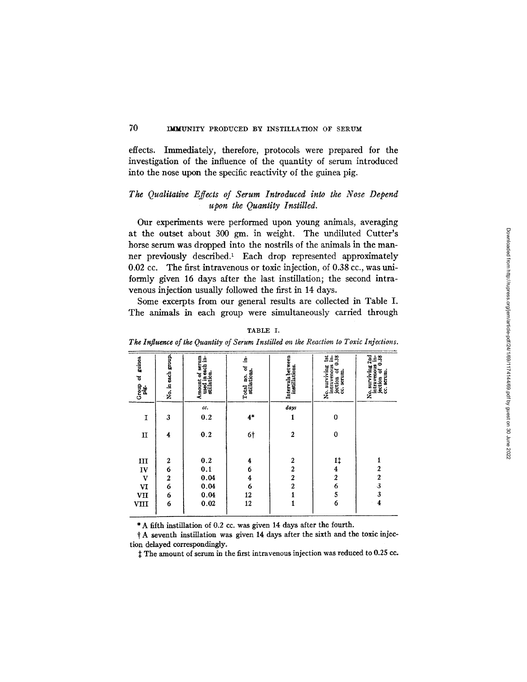effects. Immediately, therefore, protocols were prepared for the investigation of the influence of the quantity of serum introduced into the nose upon the specific reactivity of the guinea pig.

## *The Qualitative Effects of Serum Introduced into the Nose Depend upon the Quantity Instilled.*

Our experiments were performed upon young animals, averaging at the outset about 300 gm. in weight. The undiluted Cutter's horse serum was dropped into the nostrils of the animals in the manner previously described.' Each drop represented approximately 0.02 cc. The first intravenous or toxic injection, of 0.38 cc., was uniformly given 16 days after the last instillation; the second intravenous injection usually followed the first in 14 days.

Some excerpts from our general results are collected in Table I. The animals in each group were simultaneously carried through

| guinea<br>$\tilde{\bullet}$<br>Group<br>Pig. | No. in each group       | Amount of serum<br>used in each in-<br>stillation. | ģ,<br>ัธ<br>Total no. of<br>stillations. | Intervals between<br>instillations. | ä<br>0.38<br>ģ,<br>intravenous<br>No. surviving<br>뉭<br>cc. serum.<br>jection | No. surviving 2nd<br>intravenous in-<br>0.38<br>ð<br>cc. serum.<br>jection |
|----------------------------------------------|-------------------------|----------------------------------------------------|------------------------------------------|-------------------------------------|-------------------------------------------------------------------------------|----------------------------------------------------------------------------|
|                                              |                         | cc.                                                |                                          | days                                |                                                                               |                                                                            |
| I                                            | $\mathbf{3}$            | 0.2                                                | $4*$                                     |                                     | $\bf{0}$                                                                      |                                                                            |
| $\mathbf{I}$                                 | 4                       | 0.2                                                | 6†                                       | $\overline{2}$                      | $\bf{0}$                                                                      |                                                                            |
| III                                          | 2                       | 0.2                                                | 4                                        | $\overline{2}$                      |                                                                               | 1                                                                          |
| IV                                           | 6                       | 0.1                                                | 6                                        | $\mathbf 2$                         |                                                                               | $\boldsymbol{2}$                                                           |
| $\mathbf v$                                  | $\overline{\mathbf{2}}$ | 0.04                                               |                                          | $\overline{\mathbf{c}}$             |                                                                               |                                                                            |
| VI                                           | $\ddot{\mathbf{6}}$     | 0.04                                               | $\frac{4}{6}$                            | $\mathbf 2$                         | $11$<br>$4$<br>$2$<br>$6$                                                     |                                                                            |
| <b>VII</b>                                   | 6                       | 0.04                                               | 12                                       | 1                                   | $\frac{5}{6}$                                                                 | $\begin{array}{c} 2 \\ 3 \\ 3 \\ 4 \end{array}$                            |
| <b>VIII</b>                                  | 6                       | 0.02                                               | 12                                       | $\mathbf{1}$                        |                                                                               |                                                                            |

TABLE I.

*The Influence of the Quantity of Serum Instilled ont the Reaction to Toxic Injections.*

**\* A** fifth instillation of 0.2 cc. was given 14 days after the fourth.

t A seventh instillation was given 14 days after the sixth and the toxic injection delayed correspondingly.

t The amount of serum in the first intravenous injection was reduced to 0.25 cc.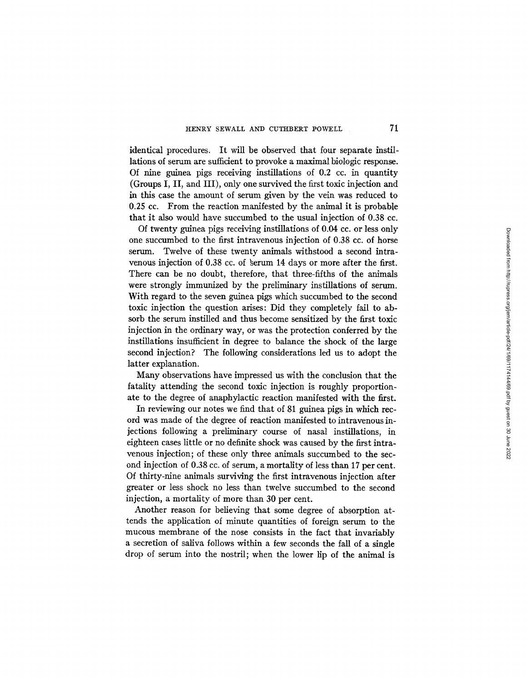identical procedures. It will be observed that four separate instillations of serum are sufficient to provoke a maximal biologic response. Of nine guinea pigs receiving instillations of 0.2 cc. in quantity (Groups I, II, and III), only one survived the first toxic injection and in this case the amount of serum given by the vein was reduced to 0.25 cc. From the reaction manifested by the animal it is probable that it also would have succumbed to the usual injection of 0.38 cc.

Of twenty guinea pigs receiving instillations of 0.04 cc. or less only one succumbed to the first intravenous injection of 0.38 cc. of horse serum. Twelve of these twenty animals withstood a second intravenous injection of 0.38 cc. of serum 14 days or more after the first. There can be no doubt, therefore, that three-fifths of the animals were strongly immunized by the preliminary instillations of serum. With regard to the seven guinea pigs which succumbed to the second toxic injection the question arises: Did they completely fail to absorb the serum instilled and thus become sensitized by the first toxic injection in the ordinary way, or was the protection conferred by the instillations insufficient in degree to balance the shock of the large second injection? The following considerations led us to adopt the latter explanation.

Many observations have impressed us with the conclusion that the fatality attending the second toxic injection is roughly proportionate to the degree of anaphylactic reaction manifested with the first.

In reviewing our notes we find that of 81 guinea pigs in which record was made of the degree of reaction manifested to intravenous injections following a preliminary course of nasal instillations, in eighteen cases little or no definite shock was caused by the first intravenous injection; of these only three animals succumbed to the second injection of 0.38 cc. of serum, a mortality of less than 17 per cent. Of thirty-nine animals surviving the first intravenous injection after greater or less shock no less than twelve succumbed to the second injection, a mortality of more than 30 per cent.

Another reason for believing that some degree of absorption attends the application of minute quantities of foreign serum to the mucous membrane of the nose consists in the fact that invariably a secretion of saliva follows within a few seconds the fall of a single drop of serum into the nostril; when the lower lip of the animal is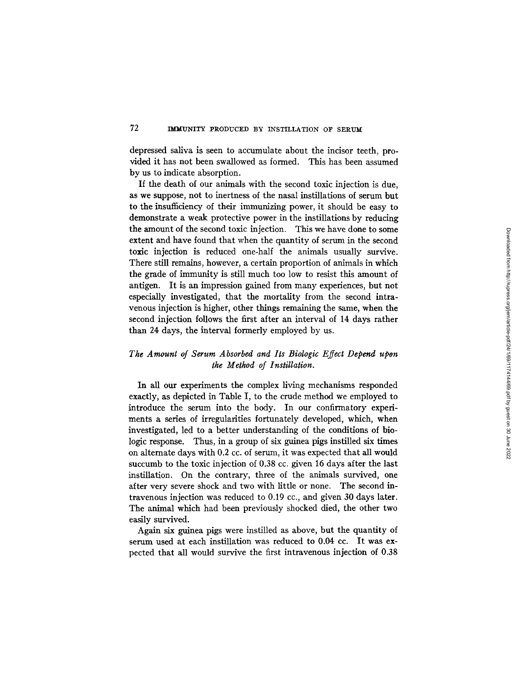depressed saliva is seen to accumulate about the incisor teeth, provided it has not been swallowed as formed. This has been assumed by us to indicate absorption.

If the death of our animals with the second toxic injection is due, as we suppose, not to inertness of the nasal instillations of serum but to the insufficiency of their immunizing power, it should be easy to demonstrate a weak protective power in the instillations by reducing the amount of the second toxic injection. This we have done to some extent and have found that when the quantity of serum in the second toxic injection is reduced one-half the animals usually survive. There still remains, however, a certain proportion of animals in which the grade of immunity is still much too low to resist this amount of antigen. It is an impression gained from many experiences, but not especially investigated, that the mortality from the second intravenous injection is higher, other things remaining the same, when the second injection follows the first after an interval of 14 days rather than 24 days, the interval formerly employed by us.

# *The Amount of Serum Absorbed and Its Biologic Effect Depend upon the Method of Instillation.*

In all our experiments the complex living mechanisms responded exactly, as depicted in Table I, to the crude method we employed to introduce the serum into the body. In our confirmatory experiments a series of irregularities fortunately developed, which, when investigated, led to a better understanding of the conditions of biologic response. Thus, in a group of six guinea pigs instilled six times on alternate days with 0.2 cc. of serum, it was expected that all would succumb to the toxic injection of 0.38 cc. given 16 days after the last instillation. On the contrary, three of the animals survived, one after very severe shock and two with little or none. The second intravenous injection was reduced to 0.19 cc., and given 30 days later. The animal which had been previously shocked died, the other two easily survived.

Again six guinea pigs were instilled as above, but the quantity of serum used at each instillation was reduced to 0.04 cc. It was expected that all would survive the first intravenous injection of 0.38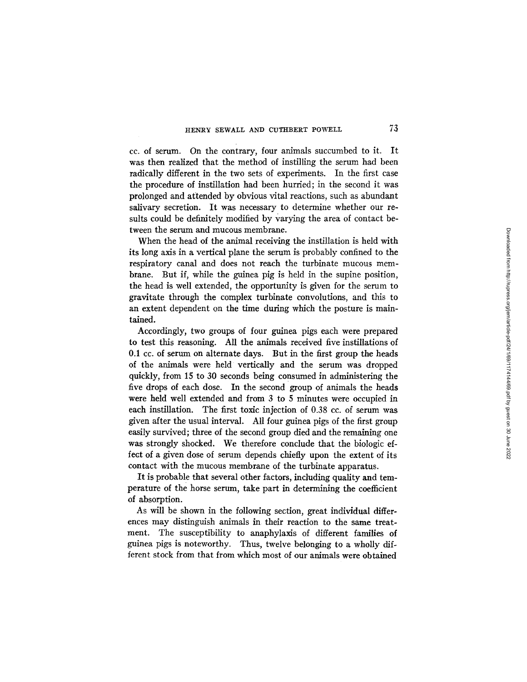cc. of serum. On the contrary, four animals succumbed to it. It was then realized that the method of instilling the serum had been radically different in the two sets of experiments. In the first case the procedure of instillation had been hurried; in the second it was prolonged and attended by obvious vital reactions, such as abundant salivary secretion. It was necessary to determine whether our results could be definitely modified by varying the area of contact between the serum and mucous membrane.

When the head of the animal receiving the instillation is held with its long axis in a vertical plane the serum is probably confined to the respiratory canal and does not reach the turbinate mucous membrane. But if, while the guinea pig is held in the supine position, the head is well extended, the opportunity is given for the serum to gravitate through the complex turbinate convolutions, and this to an extent dependent on the time during which the posture is maintained.

Accordingly, two groups of four guinea pigs each were prepared to test this reasoning. All the animals received five instillations of 0.1 cc. of serum on alternate days. But in the first group the heads of the animals were held vertically and the serum was dropped quickly, from 15 to 30 seconds being consumed in administering the five drops of each dose. In the second group of animals the heads were held well extended and from 3 to 5 minutes were occupied in each instillation. The first toxic injection of 0.38 cc. of serum was given after the usual interval. All four guinea pigs of the first group easily survived; three of the second group died and the remaining one was strongly shocked. We therefore conclude that the biologic effect of a given dose of serum depends chiefly upon the extent of its contact with the mucous membrane of the turbinate apparatus.

It is probable that several other factors, including quality and temperature of the horse serum, take part in determining the coefficient of absorption.

As will be shown in the following section, great individual differences may distinguish animals in their reaction to the same treatment. The susceptibility to anaphylaxis of different families of guinea pigs is noteworthy. Thus, twelve belonging to a wholly different stock from that from which most of our animals were obtained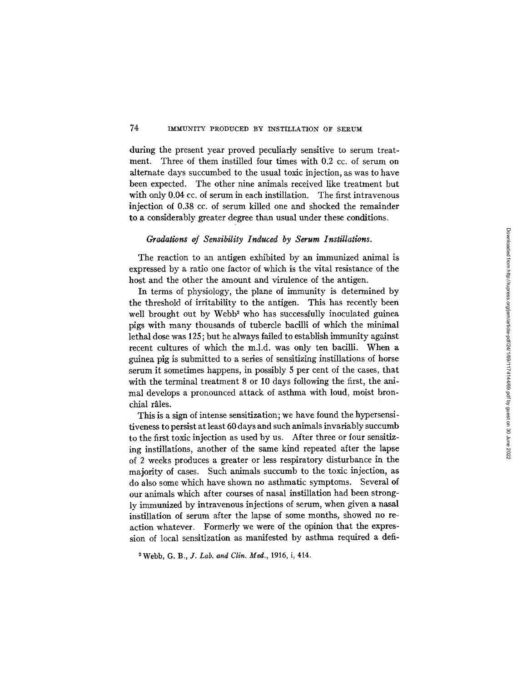during the present year proved peculiarly sensitive to serum treatment. Three of them instilled four times with 0.2 cc. of serum on alternate days succumbed to the usual toxic injection, as was to have been expected. The other nine animals received like treatment but with only 0.04 cc. of serum in each instillation. The first intravenous injection of 0.38 cc. of serum killed one and shocked the remainder **to** a considerably greater degree than usual under these conditions.

#### *Gradations of Sensibility Induced by Serum Instillations.*

The reaction to an antigen exhibited by an immunized animal is expressed by a ratio one factor of which is the vital resistance of the host and the other the amount and virulence of the antigen.

In terms of physiology, the plane of immunity is determined by the threshold of irritability to the antigen. This has recently been well brought out by Webb <sup>2</sup> who has successfully inoculated guinea pigs with many thousands of tubercle bacilli of which the minimal lethal dose was 125; but he always failed to establish immunity against recent cultures of which the m.l.d. was only ten bacilli. When a guinea pig is submitted to a series of sensitizing instillations of horse serum it sometimes happens, in possibly 5 per cent of the cases, that with the terminal treatment 8 or 10 days following the first, the animal develops a pronounced attack of asthma with loud, moist bronchial râles.

This is a sign of intense sensitization; we have found the hypersensitiveness to persist at least 60 days and such animals invariably succumb to the first toxic injection as used by us. After three or four sensitizing instillations, another of the same kind repeated after the lapse of 2 weeks produces a greater or less respiratory disturbance in the majority of cases. Such animals succumb to the toxic injection, as do also some which have shown no asthmatic symptoms. Several of our animals which after courses of nasal instillation had been strongly immunized by intravenous injections of serum, when given a nasal instillation of serum after the lapse of some months, showed no reaction whatever. Formerly we were of the opinion that the expression of local sensitization as manifested by asthma required a defi-

2 Webb, *G. B., J. Lab. and Clin. Med.,* 1916, i, 414.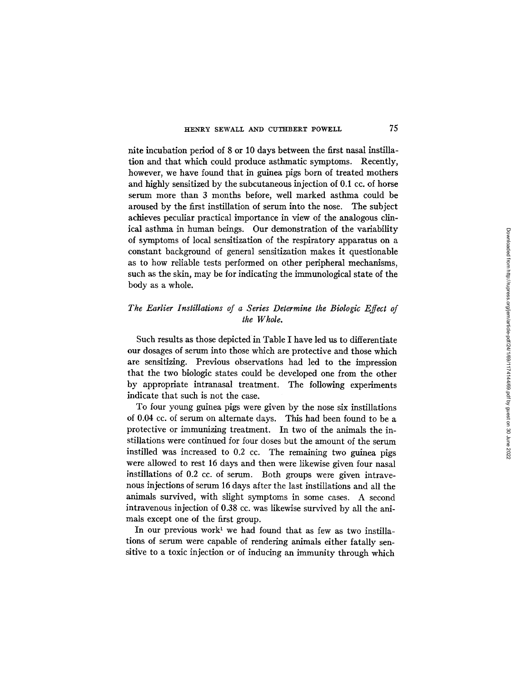nite incubation period of 8 or 10 days between the first nasal instillation and that which could produce asthmatic symptoms. Recently, however, we have found that in guinea pigs born of treated mothers and highly sensitized by the subcutaneous injection of 0.1 cc. of horse serum more than 3 months before, well marked asthma could be aroused by the first instillation of serum into the nose. The subject achieves peculiar practical importance in view of the analogous clinical asthma in human beings. Our demonstration of the variability of symptoms of local sensitization of the respiratory apparatus on a constant background of general sensitization makes it questionable as to how reliable tests performed on other peripheral mechanisms, such as the skin, may be for indicating the immunological state of the body as a whole.

# *The Earlier Instillations of a Series Determine the Biologic Effect of the Whole.*

Such results as those depicted in Table I have led us to differentiate our dosages of serum into those which are protective and those which are sensitizing. Previous observations had led to the impression that the two biologic states could be developed one from the other by appropriate intranasal treatment. The following experiments indicate that such is not the case.

To four young guinea pigs were given by the nose six instillations of 0.04 cc. of serum on alternate days. This had been found to be a protective or immunizing treatment. In two of the animals the instillations were continued for four doses but the amount of the serum instilled was increased to 0.2 cc. The remaining two guinea pigs were allowed to rest 16 days and then were likewise given four nasal instillations of 0.2 cc. of serum. Both groups were given intravenous injections of serum 16 days after the last instillations and all the animals survived, with slight symptoms in some cases. A second intravenous injection of 0.38 cc. was likewise survived by all the animals except one of the first group.

In our previous work' we had found that as few as two instillations of serum were capable of rendering animals either fatally sensitive to a toxic injection or of inducing an immunity through which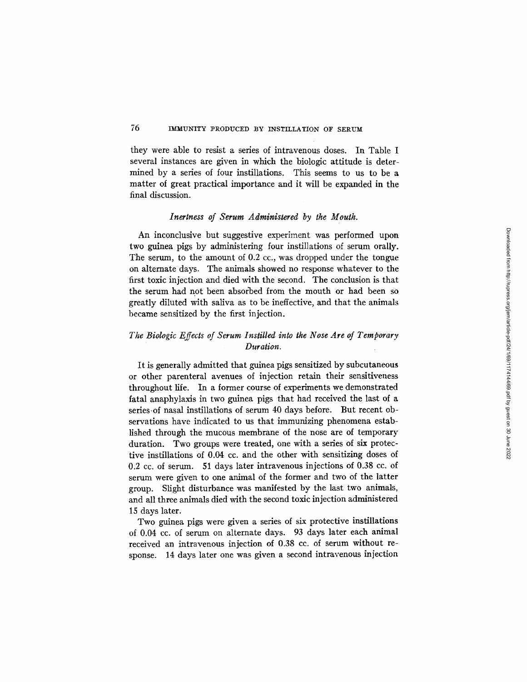they were able to resist a series of intravenous doses. In Table I several instances are given in which the biologic attitude is determined by a series of four instillations. This seems to us to be a matter of great practical importance and it will be expanded in the final discussion.

### *Inertness of Serum Administered by the Mouth.*

An inconclusive but suggestive experiment was performed upon two guinea pigs by administering four instillations of serum orally. The serum, to the amount of 0.2 cc., was dropped under the tongue on alternate days. The animals showed no response whatever to the first toxic injection and died with the second. The conclusion is that the serum had not been absorbed from the mouth or had been so greatly diluted with saliva as to be ineffective, and that the animals became sensitized by the first injection.

# *The Biologic Effects of Serum Instilled into the Nose Are of Temporary Duration.*

It is generally admitted that guinea pigs sensitized by subcutaneous or other parenteral avenues of injection retain their sensitiveness throughout life. In a former course of experiments we demonstrated fatal anaphylaxis in two guinea pigs that had received the last of a series of nasal instillations of serum 40 days before. But recent observations have indicated to us that immunizing phenomena established through the mucous membrane of the nose are of temporary duration. Two groups were treated, one with a series of six protective instillations of 0.04 cc. and the other with sensitizing doses of 0.2 cc. of serum. 51 days later intravenous injections of 0.38 cc. of serum were given to one animal of the former and two of the latter group. Slight disturbance was manifested by the last two animals, and all three animals died with the second toxic injection administered 15 days later.

Two guinea pigs were given a series of six protective instillations of 0.04 cc. of serum on alternate days. 93 days later each animal received an intravenous injection of 0.38 cc. of serum without response. 14 days later one was given a second intravenous injection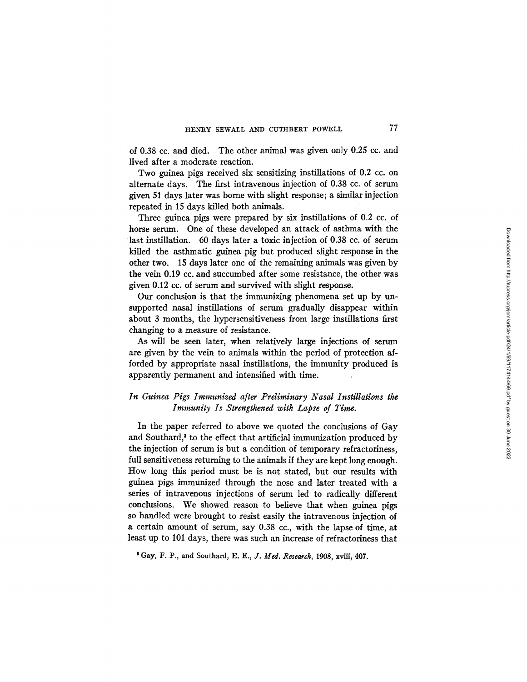of 0.38 cc. and died. The other animal was given only 0.25 cc. and lived after a moderate reaction.

Two guinea pigs received six sensitizing instillations of 0.2 cc. on alternate days. The first intravenous injection of 0.38 cc. of serum given 51 days later was borne with slight response; a similar injection repeated in 15 days killed both animals.

Three guinea pigs were prepared by six instillations of 0.2 cc. of horse serum. One of these developed an attack of asthma with the 'last instillation. 60 days later a toxic injection of 0.38 cc. of serum killed the asthmatic guinea pig but produced slight response in the other two. 15 days later one of the remaining animals was given by the vein 0.19 cc. and succumbed after some resistance, the other was given 0.12 cc. of serum and survived with slight response.

Our conclusion is that the immunizing phenomena set up by unsupported nasal instillations of serum gradually disappear within about 3 months, the hypersensitiveness from large instillations first changing to a measure of resistance.

As will be seen later, when relatively large injections of serum are given by the vein to animals within the period of protection afforded by appropriate nasal instillations, the immunity produced is apparently permanent and intensified with time.

# *In Guinea Pigs Immunized after Preliminary Nasal Instillations the Immunity Is Strengthened with Lapse of Time.*

In the paper referred to above we quoted the conclusions of Gay and Southard, <sup>3</sup> to the effect that artificial immunization produced by the injection of serum is but a condition of temporary refractoriness, full sensitiveness returning to the animals if they are kept long enough. How long this period must be is not stated, but our results with guinea pigs immunized through the nose and later treated with a series of intravenous injections of serum led to radically different conclusions. We showed reason to believe that when guinea pigs so handled were brought to resist easily the intravenous injection of a certain amount of serum, say 0.38 cc., with the lapse of time, at least up to 101 days, there was such an increase of refractoriness that

Gay, F. P., and Southard, E. E., *J. Med. Research,* 1908, xviii, 407.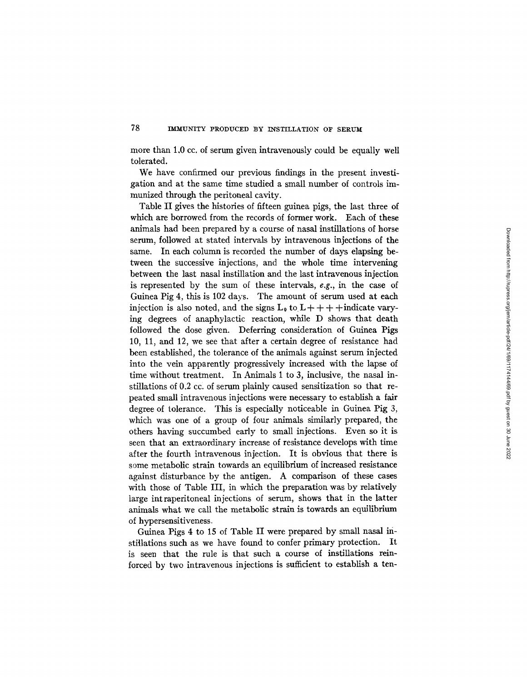more than 1.0 cc. of serum given intravenously could be equally well tolerated.

We have confirmed our previous findings in the present investigation and at the same time studied a small number of controls immunized through the peritoneal cavity.

Table II gives the histories of fifteen guinea pigs, the last three of which are borrowed from the records of former work. Each of these animals had been prepared by a course of nasal instillations of horse serum, followed at stated intervals by intravenous injections of the same. In each column is recorded the number of days elapsing between the successive injections, and the whole time intervening between the last nasal instillation and the last intravenous injection is represented by the sum of these intervals, *e.g.,* in the case of Guinea Pig 4, this is 102 days. The amount of serum used at each injection is also noted, and the signs  $L_0$  to  $L + + + +$ indicate varying degrees of anaphylactic reaction, while D shows that death followed the dose given. Deferring consideration of Guinea Pigs 10, 11, and 12, we see that after a certain degree of resistance had been established, the tolerance of the animals against serum injected into the vein apparently progressively increased with the lapse of time without treatment. In Animals 1 to 3, inclusive, the nasal instillations of 0.2 cc. of serum plainly caused sensitization so that repeated small intravenous injections were necessary to establish a fair degree of tolerance. This is especially noticeable in Guinea Pig 3, which was one of a group of four animals similarly prepared, the others having succumbed early to small injections. Even so it is seen that an extraordinary increase of resistance develops with time after the fourth intravenous injection. It is obvious that there is some metabolic strain towards an equilibrium of increased resistance against disturbance by the antigen. A comparison of these cases with those of Table III, in which the preparation was by relatively large intraperitoneal injections of serum, shows that in the latter animals what we call the metabolic strain is towards an equilibrium of hypersensitiveness.

Guinea Pigs 4 to 15 of Table II were prepared by small nasal instillations such as we have found to confer primary protection. It is seen that the rule is that such a course of instillations reinforced by two intravenous injections is sufficient to establish a ten-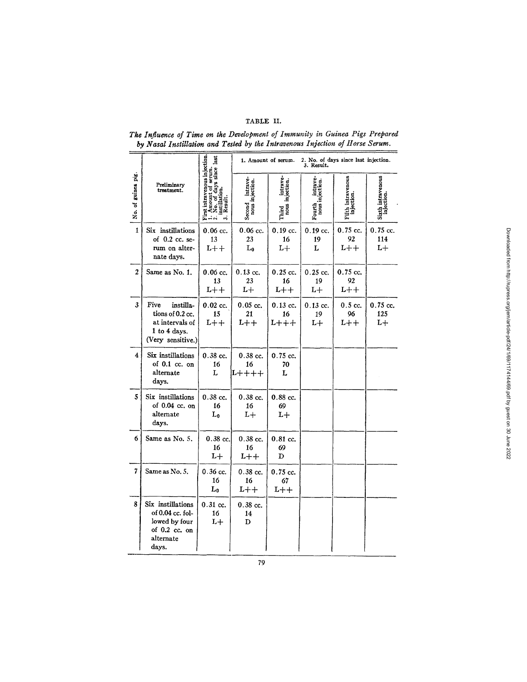## TABLE II.

|                    |                                                                                                 |                                                                                                                      | 2. No. of days since last injection.<br>1. Amount of serum.<br>3. Result. |                                    |                                    |                                  |                                 |  |
|--------------------|-------------------------------------------------------------------------------------------------|----------------------------------------------------------------------------------------------------------------------|---------------------------------------------------------------------------|------------------------------------|------------------------------------|----------------------------------|---------------------------------|--|
| No. of guinea pig. | Preliminary<br>treatment.                                                                       | First intravenous injection<br>Amount of serum.<br>No. of days since last<br>lation.<br>Result<br>$\frac{1}{2}$<br>ö | Second intrave-<br>nous injection.                                        | ntrave-<br>ection<br>nous<br>Third | Fourth intrave-<br>nous injection. | Fifth intravenous                | Sixth intravenous<br>injection. |  |
| $\mathbf{1}$       | Six instillations<br>of $0.2$ cc. se-<br>rum on alter-<br>nate days.                            | $0.06 \text{ cc.}$<br>13<br>$L++$                                                                                    | $0.06 \text{ cc.}$<br>23<br>L <sub>0</sub>                                | $0.19$ cc.<br>16<br>$_{\rm L+}$    | $0.19$ cc.<br>19<br>L              | $0.75$ cc.<br>92<br>$_{\rm L++}$ | 0.75 cc.<br>114<br>$L+$         |  |
| $\overline{2}$     | Same as No. 1.                                                                                  | $0.06$ cc.<br>13<br>$L++$                                                                                            | $0.13$ cc.<br>23<br>L+                                                    | $0.25$ cc.<br>16<br>$L++$          | $0.25$ cc.<br>19<br>$L +$          | $0.75$ cc.<br>92<br>$L++$        |                                 |  |
| 3                  | Five<br>instilla-<br>tions of 0.2 cc.<br>at intervals of<br>1 to 4 days.<br>(Very sensitive.)   | $0.02$ cc.<br>15<br>$L++$                                                                                            | $0.05$ cc.<br>21<br>$L++$                                                 | $0.13$ cc.<br>16<br>$L++\,$        | $0.13$ cc.<br>19<br>$L +$          | $0.5$ cc.<br>96<br>$L++$         | 0.75 cc.<br>125<br>L+           |  |
| 4                  | Six instillations<br>of 0.1 cc. on<br>alternate<br>days.                                        | $0.38$ cc.<br>16<br>L                                                                                                | $0.38$ cc.<br>16<br>$L++++\$                                              | $0.75$ cc.<br>70<br>r              |                                    |                                  |                                 |  |
| 5                  | Six instillations<br>of 0.04 cc. on<br>alternate<br>days.                                       | $0.38$ cc.<br>16<br>L <sub>0</sub>                                                                                   | $0.38$ cc.<br>16<br>L+                                                    | 0.88 cc.<br>69<br>$L +$            |                                    |                                  |                                 |  |
| 6                  | Same as No. 5.                                                                                  | $0.38$ cc.<br>16<br>$_{\rm L+}$                                                                                      | $0.38$ cc.<br>16<br>$L++$                                                 | $0.81$ cc.<br>69<br>D              |                                    |                                  |                                 |  |
| 7                  | Same as No. 5.                                                                                  | $0.36$ cc.<br>16<br>Lo                                                                                               | $0.38 \text{ cc.}$<br>16<br>$L++$                                         | $0.75$ cc.<br>67<br>$L++$          |                                    |                                  |                                 |  |
| 8                  | Six instillations<br>of 0.04 cc. fol-<br>lowed by four<br>of $0.2$ cc. on<br>alternate<br>days. | $0.31$ cc.<br>16<br>$_{\rm L+}$                                                                                      | $0.38$ cc.<br>14<br>D                                                     |                                    |                                    |                                  |                                 |  |

*The Influence of Time on the Development of Immunity in Guinea Pigs Prepared by Nasal Instillation and Tested by the Intravenous Injection of Horse Serum.*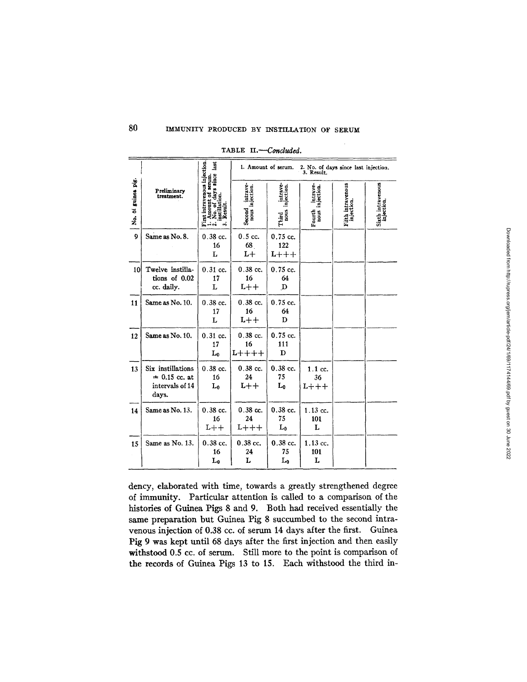|                    |                                                                  | last                                                                                                       | 1. Amount of serum.<br>2. No. of days since last injection.<br>3. Result. |                                           |                                    |                                 |                                 |  |  |
|--------------------|------------------------------------------------------------------|------------------------------------------------------------------------------------------------------------|---------------------------------------------------------------------------|-------------------------------------------|------------------------------------|---------------------------------|---------------------------------|--|--|
| No. of guinea pig. | Preliminary<br>treatment.                                        | First intravenous injection<br>Amount of serum.<br>No. of days since<br>nstillation.<br>Result<br>48<br>÷. | intrave-<br>Second intrave-<br>nous injection.                            | hird intrave-<br>nous injection.<br>Third | Fourth intrave-<br>nous injection. | Fifth intravenous<br>injection. | Sixth intravenous<br>injection. |  |  |
| $\mathbf{Q}$       | Same as No. 8.                                                   | $0.38$ cc.<br>16<br>L                                                                                      | $0.5$ cc.<br>68<br>$_{\rm L+}$                                            | $0.75$ cc.<br>122<br>$\mathtt{L+++}$      |                                    |                                 |                                 |  |  |
| 10                 | Twelve instilla-<br>tions of 0.02<br>cc. daily.                  | $0.31$ cc.<br>17<br>L                                                                                      | $0.38$ cc.<br>16<br>$L++$                                                 | 0.75 cc.<br>64<br>D                       |                                    |                                 |                                 |  |  |
| 11                 | Same as No. 10.                                                  | $0.38$ cc.<br>17<br>L                                                                                      | $0.38$ cc.<br>16<br>$L++$                                                 | $0.75$ cc.<br>64<br>D                     |                                    |                                 |                                 |  |  |
| 12                 | Same as No. 10.                                                  | $0.31$ cc.<br>17<br>L <sub>0</sub>                                                                         | $0.38$ cc.<br>16<br>$L++++$                                               | $0.75$ cc.<br>111<br>D                    |                                    |                                 |                                 |  |  |
| 13                 | Six instillations<br>$= 0.15$ cc. at<br>intervals of 14<br>days. | $0.38$ cc.<br>16<br>$L_0$                                                                                  | $0.38$ cc.<br>24<br>$L++$                                                 | $0.38$ cc.<br>75<br>$L_0$                 | $1.1 \text{ cc.}$<br>36<br>$L+++$  |                                 |                                 |  |  |
| 14                 | Same as No. 13.                                                  | 0.38 cc.<br>16<br>$L++$                                                                                    | $0.38$ cc.<br>24<br>$L+++$                                                | $0.38$ cc.<br>75<br>L0                    | $1.13$ cc.<br>101<br>L             |                                 |                                 |  |  |
| 15                 | Same as No. 13.                                                  | $0.38$ cc.<br>16<br>L <sub>0</sub>                                                                         | $0.38$ cc.<br>24<br>L                                                     | $0.38$ cc.<br>75<br>L <sub>0</sub>        | $1.13 \text{ cc.}$<br>101<br>L     |                                 |                                 |  |  |

TABLE *II.-Concluded.*

dency, elaborated with time, towards a greatly strengthened degree of immunity. Particular attention is called to a comparison of the histories of Guinea Pigs 8 and 9. Both had received essentially the same preparation but Guinea Pig 8 **succumbed** to the second intra**venous injection** of 0.38 **cc.** of serum 14 days after the first. Guinea **Pig 9** was kept until 68 days after the first injection and then easily withstood 0.5 cc. of serum. Still more to the point is comparison of the records of Guinea Pigs 13 to 15. Each withstood the third in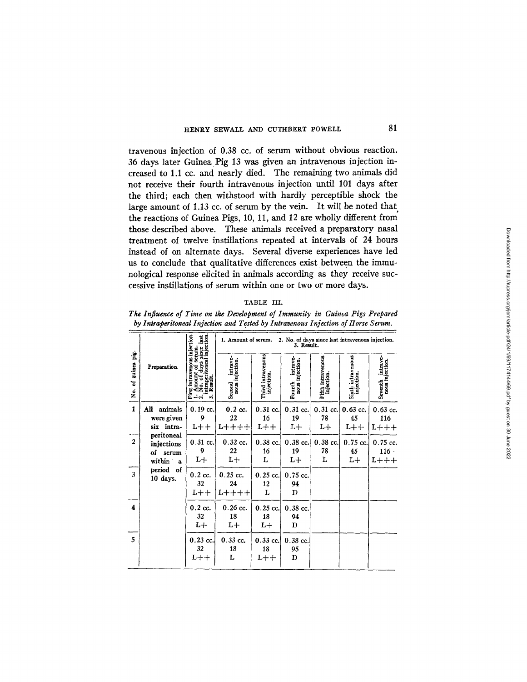travenous injection of 0.38 cc. of serum without obvious reaction. 36 days later Guinea.Pig 13 was given an intravenous injection increased to 1.1 cc. and nearly died. The remaining two animals did not receive their fourth intravenous injection until 101 days after the third; each then withstood with hardly perceptible shock the large amount of 1.13 cc. of serum by the vein. It will be noted that the reactions of Guinea Pigs, 10, 11, and 12 are wholly different from those described above. These animals received a preparatory nasal treatment of twelve instillations repeated at intervals of 24 hours instead of on alternate days. Several diverse experiences have led us to conclude that qualitative differences exist between the immunological response elicited in animals according as they receive successive instillations of serum within one or two or more days.

| <b>TABLE</b> |  |
|--------------|--|
|--------------|--|

*The Influence of Time on the Development of Immunity in Guinea Pigs Prepared by Intraperitoneal Injection and Tested by Intravenous Injection of Horse Serum.*

|                              |                                                                   | 1. Amount of serum.<br>2. No. of days since last intravenous injection.<br>3. Result.                           |                                 |                                                 |                                 |                                 |                                     |  |
|------------------------------|-------------------------------------------------------------------|-----------------------------------------------------------------------------------------------------------------|---------------------------------|-------------------------------------------------|---------------------------------|---------------------------------|-------------------------------------|--|
| Preparation.                 | Result.<br>$\ddot{ }$                                             | intrave-<br>nous injection.<br>Second                                                                           | Third intravenous<br>injection. | intrave-<br>nous injection.<br>Fourth           | Fifth intravenous<br>injection. | Sixth intravenous<br>injection. | Seventh intrave-<br>nous injection. |  |
| All<br>animals<br>were given | $0.19$ cc.<br>9                                                   | $0.2$ cc.<br>22                                                                                                 | $0.31$ cc.<br>16                | $0.31$ cc.<br>19                                | 78                              | $0.63$ cc.<br>45                | $0.63$ cc.<br>116                   |  |
|                              |                                                                   |                                                                                                                 |                                 |                                                 |                                 |                                 | L+++                                |  |
|                              | $0.31$ cc.                                                        | $0.32$ cc.                                                                                                      |                                 |                                                 | $0.38$ cc.                      |                                 | $0.75$ cc.                          |  |
|                              | 9                                                                 | 22                                                                                                              | 16                              | 19                                              | 78                              | 45                              | 116.                                |  |
| within<br>$\mathbf{a}$       | $L+$                                                              | $L +$                                                                                                           | r                               | $L +$                                           | L                               | $L+$                            | $L+++$                              |  |
| period of                    | $0.2$ cc.                                                         | $0.25$ cc.                                                                                                      |                                 |                                                 |                                 |                                 |                                     |  |
|                              | 32                                                                | 24                                                                                                              | 12                              | 94                                              |                                 |                                 |                                     |  |
|                              | $L++$                                                             | $L++++$                                                                                                         | L                               | D                                               |                                 |                                 |                                     |  |
|                              | $0.2$ cc.                                                         | $0.26$ cc.                                                                                                      |                                 | $0.38$ cc.                                      |                                 |                                 |                                     |  |
|                              | 32                                                                | 18                                                                                                              | 18                              | 94                                              |                                 |                                 |                                     |  |
|                              | L+                                                                | $L +$                                                                                                           | $L+$                            | D                                               |                                 |                                 |                                     |  |
|                              | $0.23$ cc.                                                        | $0.33$ cc.                                                                                                      | $0.33$ cc.                      | $0.38$ cc.                                      |                                 |                                 |                                     |  |
|                              | 32                                                                | 18                                                                                                              | 18                              | 95                                              |                                 |                                 |                                     |  |
|                              | $L++$                                                             | L                                                                                                               | $L++$                           | D                                               |                                 |                                 |                                     |  |
|                              | six intra-<br>peritoneal<br>injections<br>of<br>serum<br>10 days. | First intravenous injection<br>No. of days since last<br>intraperitoneal injection<br>Amount of serum.<br>$L++$ | $L++++$                         | $L++$<br>$0.38$ cc.<br>$0.25$ cc.<br>$0.25$ cc. | $L+$<br>$0.75$ cc.              | $L+$<br>$0.38$ cc.              | $0.31$ cc.<br>$L++$<br>0.75 cc.     |  |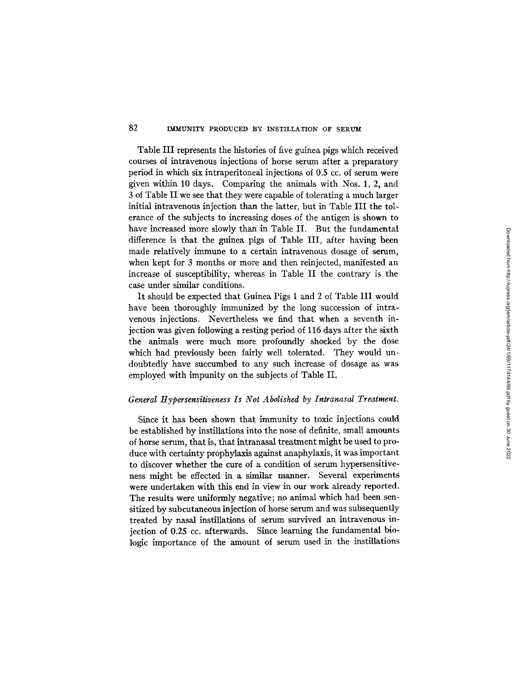Table III represents the histories of five guinea pigs which received courses of intravenous injections of horse serum after a preparatory period in which six intraperitoneal injections of 0.5 cc. of serum were given within 10 days. Comparing the animals with Nos. 1, 2, and 3 of Table II we see that they were capable of tolerating a much larger initial intravenous injection than the latter, but in Table III the tolerance of the subjects to increasing doses of the antigen is shown to have increased more slowly than in Table II. But the fundamental difference is that the guinea pigs of Table III, after having been made relatively immune to a certain intravenous dosage of serum, when kept for 3 months or more and then reinjected, manifested an increase of susceptibility, whereas in Table II the contrary is the case under similar conditions.

It should be expected that Guinea Pigs 1 and 2 of Table III would have been thoroughly immunized by the long succession of intravenous injections. Nevertheless we find that when a seventh injection was given following a resting period of 116 days after the sixth the animals were much more profoundly shocked by the dose which had previously been fairly well tolerated. They would undoubtedly have succumbed to any such increase of dosage as was employed with impunity on the subjects of Table II.

#### *General Hypersensitiveness Is Not Abolished by Intranasal Treatment.*

Since it has been shown that immunity to toxic injections could be established by instillations into the nose of definite, small amounts of horse serum, that is, that intranasal treatment might be used to produce with certainty prophylaxis against anaphylaxis, it was important to discover whether the cure of a condition of serum hypersensitiveness might be effected in a similar manner. Several experiments were undertaken with this end in view in our work already reported. The results were uniformly negative; no animal which had been sensitized by subcutaneous injection of horse serum and was subsequently treated by nasal instillations of serum survived an intravenous injection of 0.25 cc. afterwards. Since learning the fundamental biologic importance of the amount of serum used in the instillations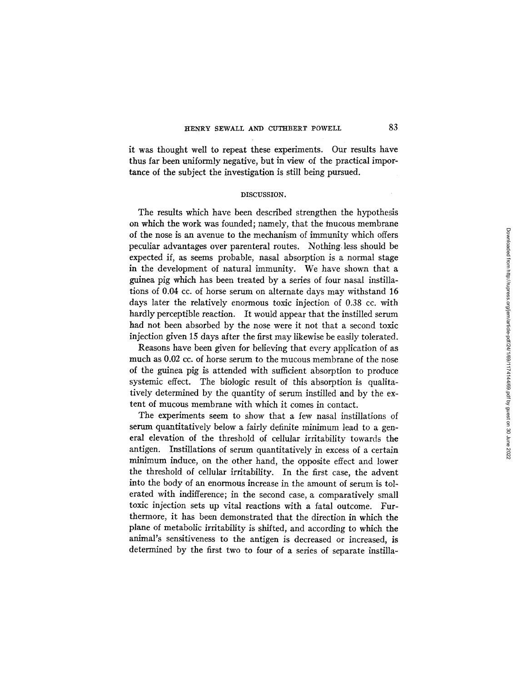it was thought well to repeat these experiments. Our results have thus far been uniformly negative, but in view of the practical importance of the subject the investigation is still being pursued.

#### DISCUSSION.

The results which have been described strengthen the hypothesis on which the work was founded; namely, that the miucous membrane of the nose is an avenue to the mechanism of immunity which offers peculiar advantages over parenteral routes. Nothing. less should be expected if, as seems probable, nasal absorption is a normal stage in the development of natural immunity. We have shown that a guinea pig which has been treated by a series of four nasal instillations of 0.04 cc. of horse serum on alternate days may withstand 16 days later the relatively enormous toxic injection of 0.38 cc. with hardly perceptible reaction. It would appear that the instilled serum had not been absorbed by the nose were it not that a second toxic injection given 15 days after the first may likewise be easily tolerated.

Reasons have been given for believing that every application of as much as 0.02 cc. of horse serum to the mucous membrane of the nose of the guinea pig is attended with sufficient absorption to produce systemic effect. The biologic result of this absorption is qualitatively determined by the quantity of serum instilled and by the extent of mucous membrane with which it comes in contact.

The experiments seem to show that a few nasal instillations of serum quantitatively below a fairly definite minimum lead to a general elevation of the threshold of cellular irritability towards the antigen. Instillations of serum quantitatively in excess of a certain minimum induce, on the other hand, the opposite effect and lower the threshold of cellular irritability. In the first case, the advent into the body of an enormous increase in the amount of serum is tolerated with indifference; in the second case, a comparatively small toxic injection sets up vital reactions with a fatal outcome. Furthermore, it has been demonstrated that the direction in which the plane of metabolic irritability is shifted, and according to which the animal's sensitiveness to the antigen is decreased or increased, is determined by the first two to four of a series of separate instilla-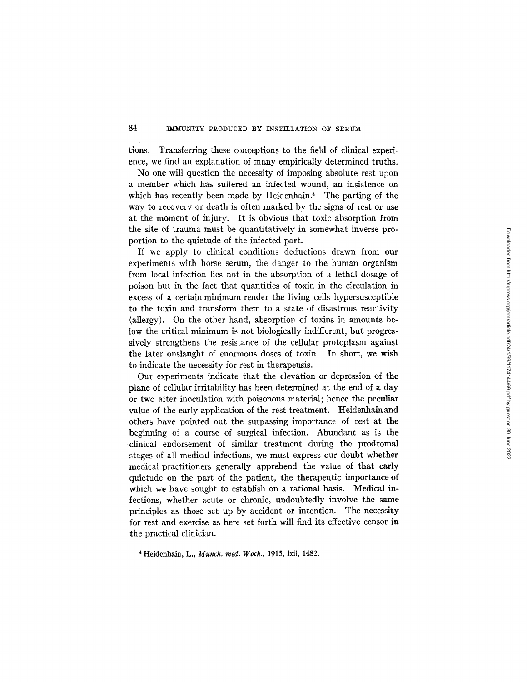tions. Transferring these conceptions to the field of clinical experience, we find an explanation of many empirically determined truths.

No one will question the necessity of imposing absolute rest upon a member which has suffered an infected wound, an insistence on which has recently been made by Heidenhain. <sup>4</sup> The parting of the way to recovery or death is often marked by the signs of rest or use at the moment of injury. It is obvious that toxic absorption from the site of trauma must be quantitatively in somewhat inverse proportion to the quietude of the infected part.

If we apply to clinical conditions deductions drawn from our experiments with horse serum, the danger to the human organism from local infection lies not in the absorption of a lethal dosage of poison but in the fact that quantities of toxin in the circulation in excess of a certain minimum render the living cells hypersusceptible to the toxin and transform them to a state of disastrous reactivity (allergy). On the other hand, absorption of toxins in amounts below the critical minimum is not biologically indifferent, but progressively strengthens the resistance of the cellular protoplasm against the later onslaught of enormous doses of toxin. In short, we wish to indicate the necessity for rest in therapeusis.

Our experiments indicate that the elevation or depression of the plane of cellular irritability has been determined at the end of a day or two after inoculation with poisonous material; hence the peculiar value of the early application of the rest treatment. Heidenhainand others have pointed out the surpassing importance of rest at the beginning of a course of surgical infection. Abundant as is the clinical endorsement of similar treatment during the prodromal stages of all medical infections, we must express our doubt whether medical practitioners generally apprehend the value of that early quietude on the part of the patient, the therapeutic importance of which we have sought to establish on a rational basis. Medical infections, whether acute or chronic, undoubtedly involve the same principles as those set up by accident or intention. The necessity for rest and exercise as here set forth will find its effective censor in the practical clinician.

<sup>4</sup> Heidenhain, L., *Münch. med. Woch.*, 1915, lxii, 1482.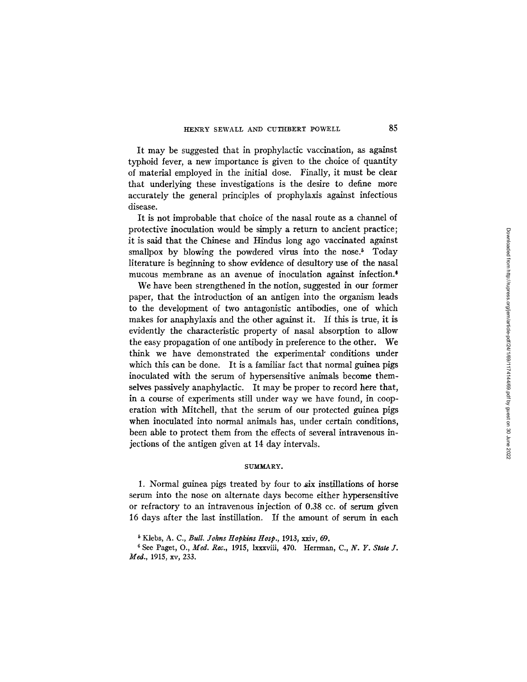It may be suggested that in prophylactic vaccination, as against typhoid fever, a new importance is given to the choice of quantity of material employed in the initial dose. Finally, it must be clear that underlying these investigations is the desire to define more accurately the general principles of prophylaxis against infectious disease.

It is not improbable that choice of the nasal route as a channel of protective inoculation would be simply a return to ancient practice; it is said that the Chinese and Hindus long ago vaccinated against smallpox by blowing the powdered virus into the nose.<sup>5</sup> Today literature is beginning to show evidence of desultory use of the nasal mucous membrane as an avenue of inoculation against infection. 6

We have been strengthened in the notion, suggested in our former paper, that the introduction of an antigen into the organism leads to the development of two antagonistic antibodies, one of which makes for anaphylaxis and the other against it. If this is true, it is evidently the characteristic property of nasal absorption to allow the easy propagation of one antibody in preference to the other. We think we have demonstrated the experimental conditions under which this can be done. It is a familiar fact that normal guinea pigs inoculated with the serum of hypersensitive animals become themselves passively anaphylactic. It may be proper to record here that, in a course of experiments still under way we have found, in cooperation with Mitchell, that the serum of our protected guinea pigs when inoculated into normal animals has, under certain conditions, been able to protect them from the effects of several intravenous injections of the antigen given at 14 day intervals.

#### SUMMARY.

1. Normal guinea pigs treated by four to six instillations of horse serum into the nose on alternate days become either hypersensitive or refractory to an intravenous injection of 0.38 cc. of serum given 16 days after the last instillation. If the amount of serum in each

<sup>6</sup> Klebs, A. C., *Bull. Johns Hopkins Hosp.,* 1913, xxiv, 69.

<sup>6</sup> See Paget, *O., Med. Rec.,* 1915, *xxxviii,* 470. Herrman, C., *N. Y. State J. Med.,* 1915, xv, 233.